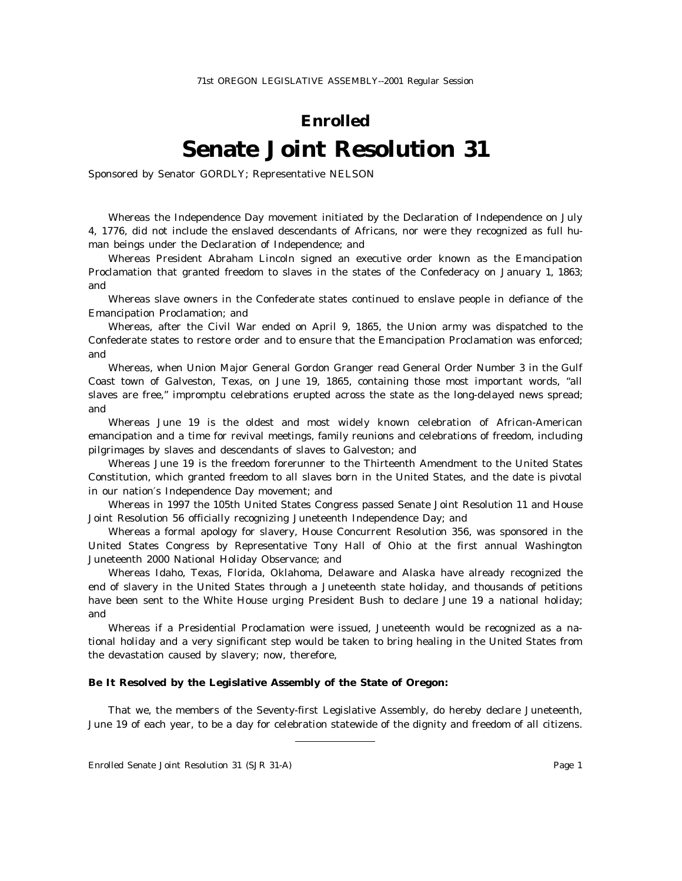## **Enrolled Senate Joint Resolution 31**

Sponsored by Senator GORDLY; Representative NELSON

Whereas the Independence Day movement initiated by the Declaration of Independence on July 4, 1776, did not include the enslaved descendants of Africans, nor were they recognized as full human beings under the Declaration of Independence; and

Whereas President Abraham Lincoln signed an executive order known as the Emancipation Proclamation that granted freedom to slaves in the states of the Confederacy on January 1, 1863; and

Whereas slave owners in the Confederate states continued to enslave people in defiance of the Emancipation Proclamation; and

Whereas, after the Civil War ended on April 9, 1865, the Union army was dispatched to the Confederate states to restore order and to ensure that the Emancipation Proclamation was enforced; and

Whereas, when Union Major General Gordon Granger read General Order Number 3 in the Gulf Coast town of Galveston, Texas, on June 19, 1865, containing those most important words, "all slaves are free," impromptu celebrations erupted across the state as the long-delayed news spread; and

Whereas June 19 is the oldest and most widely known celebration of African-American emancipation and a time for revival meetings, family reunions and celebrations of freedom, including pilgrimages by slaves and descendants of slaves to Galveston; and

Whereas June 19 is the freedom forerunner to the Thirteenth Amendment to the United States Constitution, which granted freedom to all slaves born in the United States, and the date is pivotal in our nation′s Independence Day movement; and

Whereas in 1997 the 105th United States Congress passed Senate Joint Resolution 11 and House Joint Resolution 56 officially recognizing Juneteenth Independence Day; and

Whereas a formal apology for slavery, House Concurrent Resolution 356, was sponsored in the United States Congress by Representative Tony Hall of Ohio at the first annual Washington Juneteenth 2000 National Holiday Observance; and

Whereas Idaho, Texas, Florida, Oklahoma, Delaware and Alaska have already recognized the end of slavery in the United States through a Juneteenth state holiday, and thousands of petitions have been sent to the White House urging President Bush to declare June 19 a national holiday; and

Whereas if a Presidential Proclamation were issued, Juneteenth would be recognized as a national holiday and a very significant step would be taken to bring healing in the United States from the devastation caused by slavery; now, therefore,

## **Be It Resolved by the Legislative Assembly of the State of Oregon:**

That we, the members of the Seventy-first Legislative Assembly, do hereby declare Juneteenth, June 19 of each year, to be a day for celebration statewide of the dignity and freedom of all citizens.